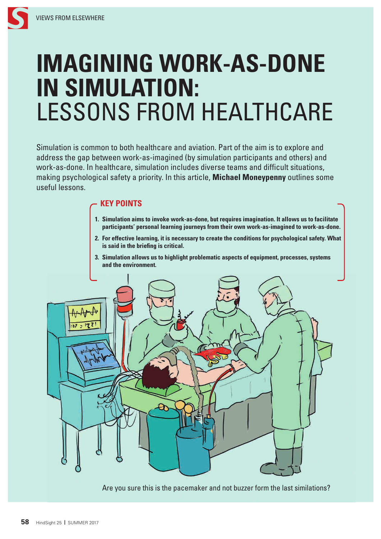# **IMAGINING WORK-AS-DONE IN SIMULATION:** LESSONS FROM HEALTHCARE

Simulation is common to both healthcare and aviation. Part of the aim is to explore and address the gap between work-as-imagined (by simulation participants and others) and work-as-done. In healthcare, simulation includes diverse teams and difficult situations, making psychological safety a priority. In this article, **Michael Moneypenny** outlines some useful lessons.

# **KEY POINTS**

- **1. Simulation aims to invoke work-as-done, but requires imagination. It allows us to facilitate participants' personal learning journeys from their own work-as-imagined to work-as-done.**
- **2. For effective learning, it is necessary to create the conditions for psychological safety. What is said in the briefing is critical.**
- **3. Simulation allows us to highlight problematic aspects of equipment, processes, systems and the environment.**



Are you sure this is the pacemaker and not buzzer form the last similations?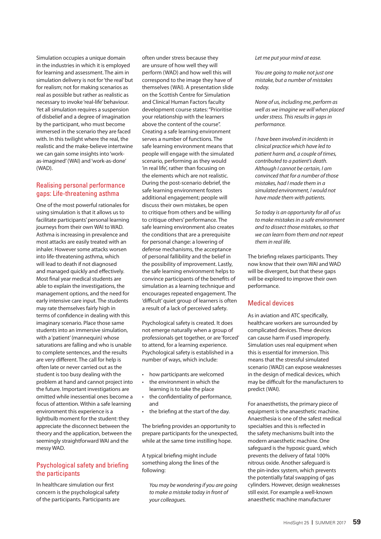Simulation occupies a unique domain in the industries in which it is employed for learning and assessment. The aim in simulation delivery is not for 'the real' but for realism; not for making scenarios as real as possible but rather as realistic as necessary to invoke 'real-life' behaviour. Yet all simulation requires a suspension of disbelief and a degree of imagination by the participant, who must become immersed in the scenario they are faced with. In this twilight where the real, the realistic and the make-believe intertwine we can gain some insights into 'workas-imagined' (WAI) and 'work-as-done' (WAD).

# Realising personal performance gaps: Life-threatening asthma

One of the most powerful rationales for using simulation is that it allows us to facilitate participants' personal learning journeys from their own WAI to WAD. Asthma is increasing in prevalence and most attacks are easily treated with an inhaler. However some attacks worsen into life-threatening asthma, which will lead to death if not diagnosed and managed quickly and effectively. Most final year medical students are able to explain the investigations, the management options, and the need for early intensive care input. The students may rate themselves fairly high in terms of confidence in dealing with this imaginary scenario. Place those same students into an immersive simulation, with a 'patient' (mannequin) whose saturations are falling and who is unable to complete sentences, and the results are very different. The call for help is often late or never carried out as the student is too busy dealing with the problem at hand and cannot project into the future. Important investigations are omitted while inessential ones become a focus of attention. Within a safe learning environment this experience is a lightbulb moment for the student: they appreciate the disconnect between the theory and the application, between the seemingly straightforward WAI and the messy WAD.

# Psychological safety and briefing the participants

In healthcare simulation our first concern is the psychological safety of the participants. Participants are often under stress because they are unsure of how well they will perform (WAD) and how well this will correspond to the image they have of themselves (WAI). A presentation slide on the Scottish Centre for Simulation and Clinical Human Factors faculty development course states: "Prioritise your relationship with the learners above the content of the course". Creating a safe learning environment serves a number of functions. The safe learning environment means that people will engage with the simulated scenario, performing as they would 'in real life', rather than focusing on the elements which are not realistic. During the post-scenario debrief, the safe learning environment fosters additional engagement; people will discuss their own mistakes, be open to critique from others and be willing to critique others' performance. The safe learning environment also creates the conditions that are a prerequisite for personal change: a lowering of defense mechanisms, the acceptance of personal fallibility and the belief in the possibility of improvement. Lastly, the safe learning environment helps to convince participants of the benefits of simulation as a learning technique and encourages repeated engagement. The 'difficult' quiet group of learners is often a result of a lack of perceived safety.

Psychological safety is created. It does not emerge naturally when a group of professionals get together, or are 'forced' to attend, for a learning experience. Psychological safety is established in a number of ways, which include:

- how participants are welcomed
- the environment in which the learning is to take the place
- the confidentiality of performance, and
- the briefing at the start of the day.

The briefing provides an opportunity to prepare participants for the unexpected, while at the same time instilling hope.

A typical briefing might include something along the lines of the following:

*You may be wondering if you are going to make a mistake today in front of your colleagues.*

#### *Let me put your mind at ease.*

*You are going to make not just one mistake, but a number of mistakes today.*

*None of us, including me, perform as well as we imagine we will when placed under stress. This results in gaps in performance.*

*I have been involved in incidents in clinical practice which have led to patient harm and, a couple of times, contributed to a patient's death. Although I cannot be certain, I am convinced that for a number of those mistakes, had I made them in a simulated environment, I would not have made them with patients.*

*So today is an opportunity for all of us to make mistakes in a safe environment and to dissect those mistakes, so that we can learn from them and not repeat them in real life.*

The briefing relaxes participants. They now know that their own WAI and WAD will be divergent, but that these gaps will be explored to improve their own performance.

## Medical devices

As in aviation and ATC specifically, healthcare workers are surrounded by complicated devices. These devices can cause harm if used improperly. Simulation uses real equipment when this is essential for immersion. This means that the stressful simulated scenario (WAD) can expose weaknesses in the design of medical devices, which may be difficult for the manufacturers to predict (WAI).

For anaesthetists, the primary piece of equipment is the anaesthetic machine. Anaesthesia is one of the safest medical specialties and this is reflected in the safety mechanisms built into the modern anaesthetic machine. One safeguard is the hypoxic guard, which prevents the delivery of fatal 100% nitrous oxide. Another safeguard is the pin-index system, which prevents the potentially fatal swapping of gas cylinders. However, design weaknesses still exist. For example a well-known anaesthetic machine manufacturer